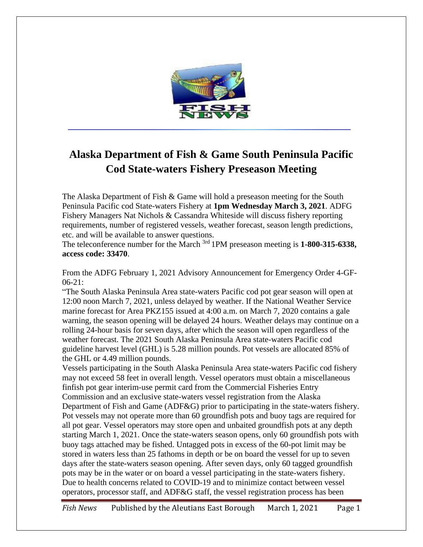

## **Alaska Department of Fish & Game South Peninsula Pacific Cod State-waters Fishery Preseason Meeting**

The Alaska Department of Fish & Game will hold a preseason meeting for the South Peninsula Pacific cod State-waters Fishery at **1pm Wednesday March 3, 2021**. ADFG Fishery Managers Nat Nichols & Cassandra Whiteside will discuss fishery reporting requirements, number of registered vessels, weather forecast, season length predictions, etc. and will be available to answer questions.

The teleconference number for the March 3rd 1PM preseason meeting is **1-800-315-6338, access code: 33470**.

From the ADFG February 1, 2021 Advisory Announcement for Emergency Order 4-GF- $06-21:$ 

"The South Alaska Peninsula Area state-waters Pacific cod pot gear season will open at 12:00 noon March 7, 2021, unless delayed by weather. If the National Weather Service marine forecast for Area PKZ155 issued at 4:00 a.m. on March 7, 2020 contains a gale warning, the season opening will be delayed 24 hours. Weather delays may continue on a rolling 24-hour basis for seven days, after which the season will open regardless of the weather forecast. The 2021 South Alaska Peninsula Area state-waters Pacific cod guideline harvest level (GHL) is 5.28 million pounds. Pot vessels are allocated 85% of the GHL or 4.49 million pounds.

Vessels participating in the South Alaska Peninsula Area state-waters Pacific cod fishery may not exceed 58 feet in overall length. Vessel operators must obtain a miscellaneous finfish pot gear interim-use permit card from the Commercial Fisheries Entry Commission and an exclusive state-waters vessel registration from the Alaska Department of Fish and Game (ADF&G) prior to participating in the state-waters fishery. Pot vessels may not operate more than 60 groundfish pots and buoy tags are required for all pot gear. Vessel operators may store open and unbaited groundfish pots at any depth starting March 1, 2021. Once the state-waters season opens, only 60 groundfish pots with buoy tags attached may be fished. Untagged pots in excess of the 60-pot limit may be stored in waters less than 25 fathoms in depth or be on board the vessel for up to seven days after the state-waters season opening. After seven days, only 60 tagged groundfish pots may be in the water or on board a vessel participating in the state-waters fishery. Due to health concerns related to COVID-19 and to minimize contact between vessel operators, processor staff, and ADF&G staff, the vessel registration process has been